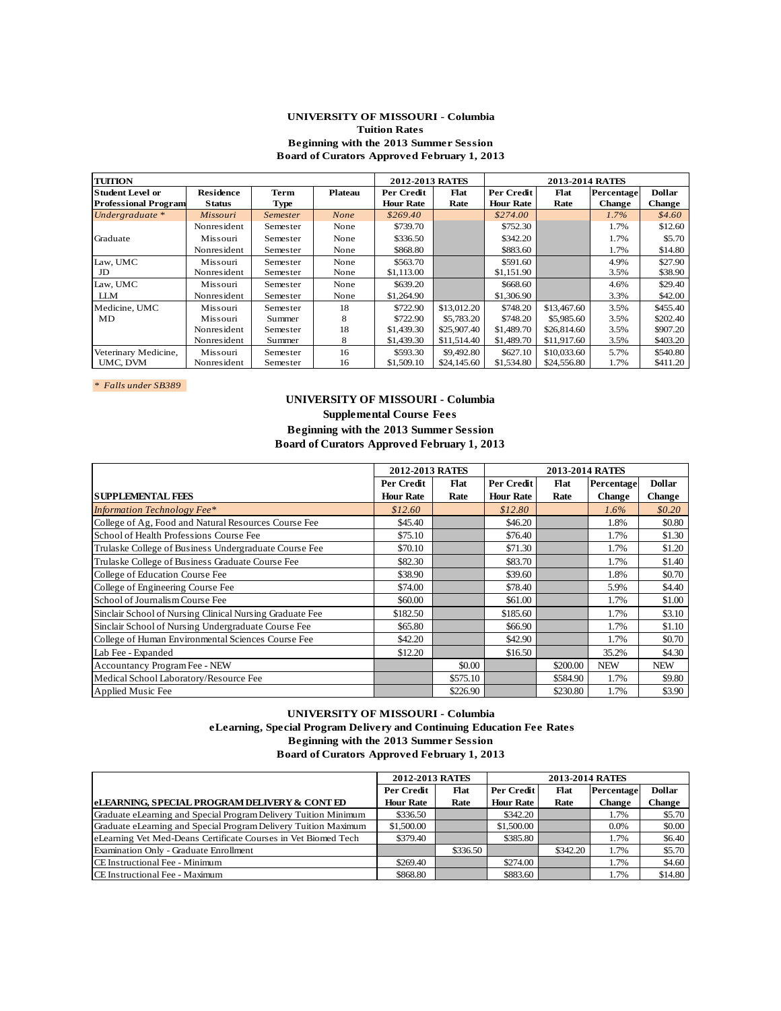#### **UNIVERSITY OF MISSOURI - Columbia Tuition Rates Beginning with the 2013 Summer Session Board of Curators Approved February 1, 2013**

| <b>TUITION</b>              |                  |                 |                | 2012-2013 RATES  |             |                  | <b>2013-2014 RATES</b> |               |               |
|-----------------------------|------------------|-----------------|----------------|------------------|-------------|------------------|------------------------|---------------|---------------|
| <b>Student Level or</b>     | <b>Residence</b> | <b>Term</b>     | <b>Plateau</b> | Per Credit       | Flat        | Per Credit       | Flat                   | Percentage    | <b>Dollar</b> |
| <b>Professional Program</b> | <b>Status</b>    | <b>Type</b>     |                | <b>Hour Rate</b> | Rate        | <b>Hour Rate</b> | Rate                   | <b>Change</b> | <b>Change</b> |
| Undergraduate $*$           | Missouri         | <b>Semester</b> | None           | \$269.40         |             | \$274.00         |                        | $1.7\%$       | \$4.60        |
|                             | Nonresident      | Semester        | None           | \$739.70         |             | \$752.30         |                        | 1.7%          | \$12.60       |
| Graduate                    | Missouri         | Semester        | None           | \$336.50         |             | \$342.20         |                        | 1.7%          | \$5.70        |
|                             | Nonresident      | Semester        | None           | \$868.80         |             | \$883.60         |                        | 1.7%          | \$14.80       |
| Law, UMC                    | Missouri         | Semester        | None           | \$563.70         |             | \$591.60         |                        | 4.9%          | \$27.90       |
| JD                          | Nonresident      | Semester        | None           | \$1,113.00       |             | \$1,151.90       |                        | 3.5%          | \$38.90       |
| Law, UMC                    | Missouri         | Semester        | None           | \$639.20         |             | \$668.60         |                        | 4.6%          | \$29.40       |
| <b>LLM</b>                  | Nonresident      | Semester        | None           | \$1,264.90       |             | \$1,306.90       |                        | 3.3%          | \$42.00       |
| Medicine, UMC               | Missouri         | Semester        | 18             | \$722.90         | \$13,012.20 | \$748.20         | \$13,467.60            | 3.5%          | \$455.40      |
| MD                          | Missouri         | Summer          | 8              | \$722.90         | \$5,783.20  | \$748.20         | \$5,985.60             | 3.5%          | \$202.40      |
|                             | Nonresident      | Semester        | 18             | \$1,439.30       | \$25,907.40 | \$1,489.70       | \$26,814.60            | 3.5%          | \$907.20      |
|                             | Nonresident      | Summer          | 8              | \$1,439.30       | \$11,514.40 | \$1,489.70       | \$11,917.60            | 3.5%          | \$403.20      |
| Veterinary Medicine,        | Missouri         | Semester        | 16             | \$593.30         | \$9,492.80  | \$627.10         | \$10,033.60            | 5.7%          | \$540.80      |
| UMC. DVM                    | Nonresident      | Semester        | 16             | \$1,509.10       | \$24,145.60 | \$1,534.80       | \$24,556.80            | 1.7%          | \$411.20      |

*\* Falls under SB389* 

# **UNIVERSITY OF MISSOURI - Columbia Supplemental Course Fees Beginning with the 2013 Summer Session Board of Curators Approved February 1, 2013**

|                                                          | 2012-2013 RATES  |          |                  | 2013-2014 RATES |               |               |
|----------------------------------------------------------|------------------|----------|------------------|-----------------|---------------|---------------|
|                                                          | Per Credit       | Flat     | Per Credit       | Flat            | Percentage    | <b>Dollar</b> |
| <b>SUPPLEMENTAL FEES</b>                                 | <b>Hour Rate</b> | Rate     | <b>Hour Rate</b> | Rate            | <b>Change</b> | <b>Change</b> |
| <b>Information Technology Fee*</b>                       | \$12.60          |          | \$12.80          |                 | $1.6\%$       | \$0.20        |
| College of Ag, Food and Natural Resources Course Fee     | \$45.40          |          | \$46.20          |                 | 1.8%          | \$0.80        |
| School of Health Professions Course Fee                  | \$75.10          |          | \$76.40          |                 | 1.7%          | \$1.30        |
| Trulaske College of Business Undergraduate Course Fee    | \$70.10          |          | \$71.30          |                 | 1.7%          | \$1.20        |
| Trulaske College of Business Graduate Course Fee         | \$82.30          |          | \$83.70          |                 | 1.7%          | \$1.40        |
| College of Education Course Fee                          | \$38.90          |          | \$39.60          |                 | 1.8%          | \$0.70        |
| College of Engineering Course Fee                        | \$74.00          |          | \$78.40          |                 | 5.9%          | \$4.40        |
| School of Journalism Course Fee                          | \$60.00          |          | \$61.00          |                 | 1.7%          | \$1.00        |
| Sinclair School of Nursing Clinical Nursing Graduate Fee | \$182.50         |          | \$185.60         |                 | 1.7%          | \$3.10        |
| Sinclair School of Nursing Undergraduate Course Fee      | \$65.80          |          | \$66.90          |                 | 1.7%          | \$1.10        |
| College of Human Environmental Sciences Course Fee       | \$42.20          |          | \$42.90          |                 | 1.7%          | \$0.70        |
| Lab Fee - Expanded                                       | \$12.20          |          | \$16.50          |                 | 35.2%         | \$4.30        |
| Accountancy Program Fee - NEW                            |                  | \$0.00   |                  | \$200.00        | <b>NEW</b>    | <b>NEW</b>    |
| Medical School Laboratory/Resource Fee                   |                  | \$575.10 |                  | \$584.90        | 1.7%          | \$9.80        |
| Applied Music Fee                                        |                  | \$226.90 |                  | \$230.80        | 1.7%          | \$3.90        |

### **UNIVERSITY OF MISSOURI - Columbia eLearning, Special Program Delivery and Continuing Education Fee Rates Beginning with the 2013 Summer Session Board of Curators Approved February 1, 2013**

|                                                                 | <b>2012-2013 RATES</b> |          |                  | <b>2013-2014 RATES</b> |               |         |
|-----------------------------------------------------------------|------------------------|----------|------------------|------------------------|---------------|---------|
|                                                                 | Per Credit             | Flat     | Per Credit       | <b>Dollar</b>          |               |         |
| <b>eLEARNING, SPECIAL PROGRAM DELIVERY &amp; CONT ED</b>        | <b>Hour Rate</b>       | Rate     | <b>Hour Rate</b> | Rate                   | <b>Change</b> | Change  |
| Graduate eLearning and Special Program Delivery Tuition Minimum | \$336.50               |          | \$342.20         |                        | 1.7%          | \$5.70  |
| Graduate eLearning and Special Program Delivery Tuition Maximum | \$1,500.00             |          | \$1,500.00       |                        | 0.0%          | \$0.00  |
| eLearning Vet Med-Deans Certificate Courses in Vet Biomed Tech  | \$379.40               |          | \$385.80         |                        | 1.7%          | \$6.40  |
| Examination Only - Graduate Enrollment                          |                        | \$336.50 |                  | \$342.20               | 1.7%          | \$5.70  |
| CE Instructional Fee - Minimum                                  | \$269.40               |          | \$274.00         |                        | 1.7%          | \$4.60  |
| CE Instructional Fee - Maximum                                  | \$868.80               |          | \$883.60         |                        | 1.7%          | \$14.80 |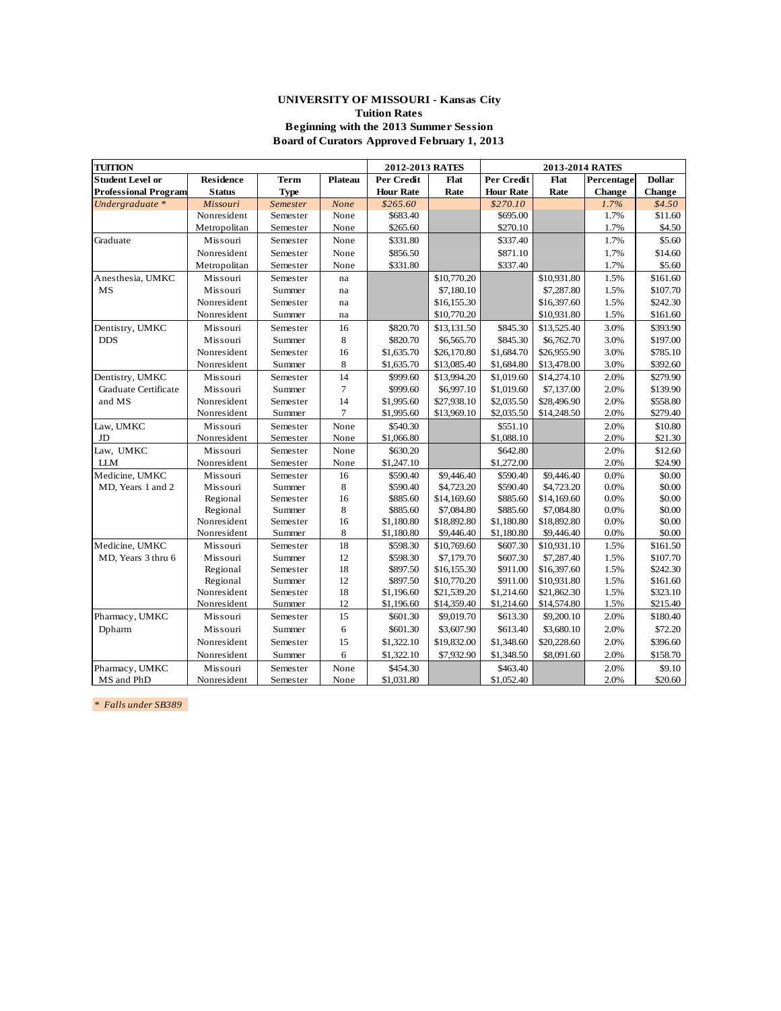### **UNIVERSITY OF MISSOURI - Kansas City Tuition Rates Beginning with the 2013 Summer Session Board of Curators Approved February 1, 2013**

| <b>TUITION</b>              |                  |             |                | 2012-2013 RATES  |             |                  |             |               |               |
|-----------------------------|------------------|-------------|----------------|------------------|-------------|------------------|-------------|---------------|---------------|
| <b>Student Level or</b>     | <b>Residence</b> | Term        | Plateau        | Per Credit       | Flat        | Per Credit       | Flat        | Percentage    | <b>Dollar</b> |
| <b>Professional Program</b> | <b>Status</b>    | <b>Type</b> |                | <b>Hour Rate</b> | Rate        | <b>Hour Rate</b> | Rate        | <b>Change</b> | <b>Change</b> |
| Undergraduate *             | Missouri         | Semester    | None           | \$265.60         |             | \$270.10         |             | 1.7%          | \$4.50        |
|                             | Nonresident      | Semester    | None           | \$683.40         |             | \$695.00         |             | 1.7%          | \$11.60       |
|                             | Metropolitan     | Semester    | None           | \$265.60         |             | \$270.10         |             | 1.7%          | \$4.50        |
| Graduate                    | Missouri         | Semester    | None           | \$331.80         |             | \$337.40         |             | 1.7%          | \$5.60        |
|                             | Nonresident      | Semester    | None           | \$856.50         |             | \$871.10         |             | 1.7%          | \$14.60       |
|                             | Metropolitan     | Semester    | None           | \$331.80         |             | \$337.40         |             | 1.7%          | \$5.60        |
| Anesthesia, UMKC            | Missouri         | Semester    | na             |                  | \$10,770.20 |                  | \$10,931.80 | 1.5%          | \$161.60      |
| MS                          | Missouri         | Summer      | na             |                  | \$7,180.10  |                  | \$7,287.80  | 1.5%          | \$107.70      |
|                             | Nonresident      | Semester    | na             |                  | \$16,155.30 |                  | \$16,397.60 | 1.5%          | \$242.30      |
|                             | Nonresident      | Summer      | na             |                  | \$10,770.20 |                  | \$10,931.80 | 1.5%          | \$161.60      |
| Dentistry, UMKC             | Missouri         | Semester    | 16             | \$820.70         | \$13,131.50 | \$845.30         | \$13,525.40 | 3.0%          | \$393.90      |
| <b>DDS</b>                  | Missouri         | Summer      | 8              | \$820.70         | \$6,565.70  | \$845.30         | \$6,762.70  | 3.0%          | \$197.00      |
|                             | Nonresident      | Semester    | 16             | \$1,635.70       | \$26,170.80 | \$1,684.70       | \$26,955.90 | 3.0%          | \$785.10      |
|                             | Nonresident      | Summer      | 8              | \$1,635.70       | \$13,085.40 | \$1,684.80       | \$13,478.00 | 3.0%          | \$392.60      |
| Dentistry, UMKC             | Missouri         | Semester    | 14             | \$999.60         | \$13,994.20 | \$1,019.60       | \$14,274.10 | 2.0%          | \$279.90      |
| Graduate Certificate        | Missouri         | Summer      | $\overline{7}$ | \$999.60         | \$6,997.10  | \$1,019.60       | \$7,137.00  | 2.0%          | \$139.90      |
| and MS                      | Nonresident      | Semester    | 14             | \$1,995.60       | \$27,938.10 | \$2,035.50       | \$28,496.90 | 2.0%          | \$558.80      |
|                             | Nonresident      | Summer      | $\overline{7}$ | \$1,995.60       | \$13,969.10 | \$2,035.50       | \$14,248.50 | 2.0%          | \$279.40      |
| Law, UMKC                   | Missouri         | Semester    | None           | \$540.30         |             | \$551.10         |             | 2.0%          | \$10.80       |
| JD                          | Nonresident      | Semester    | None           | \$1,066.80       |             | \$1,088.10       |             | 2.0%          | \$21.30       |
| Law, UMKC                   | Missouri         | Semester    | None           | \$630.20         |             | \$642.80         |             | 2.0%          | \$12.60       |
| <b>LLM</b>                  | Nonresident      | Semester    | None           | \$1,247.10       |             | \$1,272.00       |             | 2.0%          | \$24.90       |
| Medicine, UMKC              | Missouri         | Semester    | 16             | \$590.40         | \$9,446.40  | \$590.40         | \$9,446.40  | 0.0%          | \$0.00        |
| MD, Years 1 and 2           | Missouri         | Summer      | 8              | \$590.40         | \$4,723.20  | \$590.40         | \$4,723.20  | 0.0%          | \$0.00        |
|                             | Regional         | Semester    | 16             | \$885.60         | \$14,169.60 | \$885.60         | \$14,169.60 | 0.0%          | \$0.00        |
|                             | Regional         | Summer      | 8              | \$885.60         | \$7,084.80  | \$885.60         | \$7,084.80  | 0.0%          | \$0.00        |
|                             | Nonresident      | Semester    | 16             | \$1,180.80       | \$18,892.80 | \$1,180.80       | \$18,892.80 | 0.0%          | \$0.00        |
|                             | Nonresident      | Summer      | 8              | \$1,180.80       | \$9,446.40  | \$1,180.80       | \$9,446.40  | 0.0%          | \$0.00        |
| Medicine, UMKC              | Missouri         | Semester    | 18             | \$598.30         | \$10,769.60 | \$607.30         | \$10,931.10 | 1.5%          | \$161.50      |
| MD, Years 3 thru 6          | Missouri         | Summer      | 12             | \$598.30         | \$7,179.70  | \$607.30         | \$7,287.40  | 1.5%          | \$107.70      |
|                             | Regional         | Semester    | 18             | \$897.50         | \$16,155.30 | \$911.00         | \$16,397.60 | 1.5%          | \$242.30      |
|                             | Regional         | Summer      | 12             | \$897.50         | \$10,770.20 | \$911.00         | \$10,931.80 | 1.5%          | \$161.60      |
|                             | Nonresident      | Semester    | 18             | \$1,196.60       | \$21,539.20 | \$1,214.60       | \$21,862.30 | 1.5%          | \$323.10      |
|                             | Nonresident      | Summer      | 12             | \$1,196.60       | \$14,359.40 | \$1,214.60       | \$14,574.80 | 1.5%          | \$215.40      |
| Pharmacy, UMKC              | Missouri         | Semester    | 15             | \$601.30         | \$9,019.70  | \$613.30         | \$9,200.10  | 2.0%          | \$180.40      |
| Dpharm                      | Missouri         | Summer      | 6              | \$601.30         | \$3,607.90  | \$613.40         | \$3,680.10  | 2.0%          | \$72.20       |
|                             | Nonresident      | Semester    | 15             | \$1,322.10       | \$19,832.00 | \$1,348.60       | \$20,228.60 | 2.0%          | \$396.60      |
|                             | Nonresident      | Summer      | 6              | \$1,322.10       | \$7,932.90  | \$1,348.50       | \$8,091.60  | 2.0%          | \$158.70      |
| Pharmacy, UMKC              | Missouri         | Semester    | None           | \$454.30         |             | \$463.40         |             | 2.0%          | \$9.10        |
| MS and PhD                  | Nonresident      | Semester    | None           | \$1,031.80       |             | \$1,052.40       |             | 2.0%          | \$20.60       |

*\* Falls under SB389*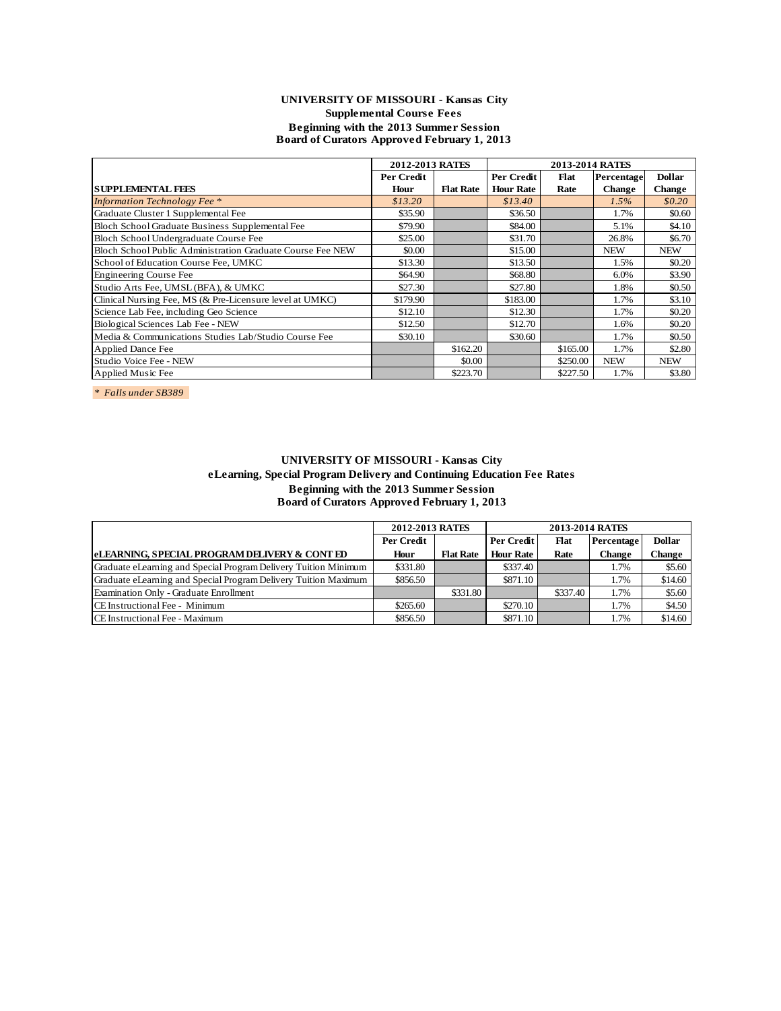### **UNIVERSITY OF MISSOURI - Kansas City Supplemental Course Fees Beginning with the 2013 Summer Session Board of Curators Approved February 1, 2013**

|                                                            | 2012-2013 RATES |                  |                  | 2013-2014 RATES |               |               |
|------------------------------------------------------------|-----------------|------------------|------------------|-----------------|---------------|---------------|
|                                                            | Per Credit      |                  | Per Credit       | Flat            | Percentage    | <b>Dollar</b> |
| <b> SUPPLEMENTAL FEES</b>                                  | Hour            | <b>Flat Rate</b> | <b>Hour Rate</b> | Rate            | <b>Change</b> | <b>Change</b> |
| <b>Information Technology Fee</b> *                        | \$13.20         |                  | \$13.40          |                 | 1.5%          | \$0.20        |
| Graduate Cluster 1 Supplemental Fee                        | \$35.90         |                  | \$36.50          |                 | 1.7%          | \$0.60        |
| Bloch School Graduate Business Supplemental Fee            | \$79.90         |                  | \$84.00          |                 | 5.1%          | \$4.10        |
| Bloch School Undergraduate Course Fee                      | \$25.00         |                  | \$31.70          |                 | 26.8%         | \$6.70        |
| Bloch School Public Administration Graduate Course Fee NEW | \$0.00          |                  | \$15.00          |                 | <b>NEW</b>    | <b>NEW</b>    |
| School of Education Course Fee, UMKC                       | \$13.30         |                  | \$13.50          |                 | 1.5%          | \$0.20        |
| Engineering Course Fee                                     | \$64.90         |                  | \$68.80          |                 | 6.0%          | \$3.90        |
| Studio Arts Fee, UMSL (BFA), & UMKC                        | \$27.30         |                  | \$27.80          |                 | 1.8%          | \$0.50        |
| Clinical Nursing Fee, MS (& Pre-Licensure level at UMKC)   | \$179.90        |                  | \$183.00         |                 | 1.7%          | \$3.10        |
| Science Lab Fee, including Geo Science                     | \$12.10         |                  | \$12.30          |                 | 1.7%          | \$0.20        |
| Biological Sciences Lab Fee - NEW                          | \$12.50         |                  | \$12.70          |                 | 1.6%          | \$0.20        |
| Media & Communications Studies Lab/Studio Course Fee       | \$30.10         |                  | \$30.60          |                 | 1.7%          | \$0.50        |
| Applied Dance Fee                                          |                 | \$162.20         |                  | \$165.00        | 1.7%          | \$2.80        |
| Studio Voice Fee - NEW                                     |                 | \$0.00           |                  | \$250.00        | <b>NEW</b>    | <b>NEW</b>    |
| Applied Music Fee                                          |                 | \$223.70         |                  | \$227.50        | 1.7%          | \$3.80        |

*\* Falls under SB389* 

## **UNIVERSITY OF MISSOURI - Kansas City eLearning, Special Program Delivery and Continuing Education Fee Rates Beginning with the 2013 Summer Session Board of Curators Approved February 1, 2013**

|                                                                 | 2012-2013 RATES   |                  | 2013-2014 RATES  |             |               |               |  |  |
|-----------------------------------------------------------------|-------------------|------------------|------------------|-------------|---------------|---------------|--|--|
|                                                                 | <b>Per Credit</b> |                  | Per Credit       | <b>Flat</b> | Percentage    | <b>Dollar</b> |  |  |
| <b>eLEARNING. SPECIAL PROGRAM DELIVERY &amp; CONT ED</b>        | Hour              | <b>Flat Rate</b> | <b>Hour Rate</b> | Rate        | <b>Change</b> | Change        |  |  |
| Graduate eLearning and Special Program Delivery Tuition Minimum | \$331.80          |                  | \$337.40         |             | 1.7%          | \$5.60        |  |  |
| Graduate eLearning and Special Program Delivery Tuition Maximum | \$856.50          |                  | \$871.10         |             | 1.7%          | \$14.60       |  |  |
| Examination Only - Graduate Enrollment                          |                   | \$331.80         |                  | \$337.40    | 1.7%          | \$5.60        |  |  |
| CE Instructional Fee - Minimum                                  | \$265.60          |                  | \$270.10         |             | 1.7%          | \$4.50        |  |  |
| CE Instructional Fee - Maximum                                  | \$856.50          |                  | \$871.10         |             | 1.7%          | \$14.60       |  |  |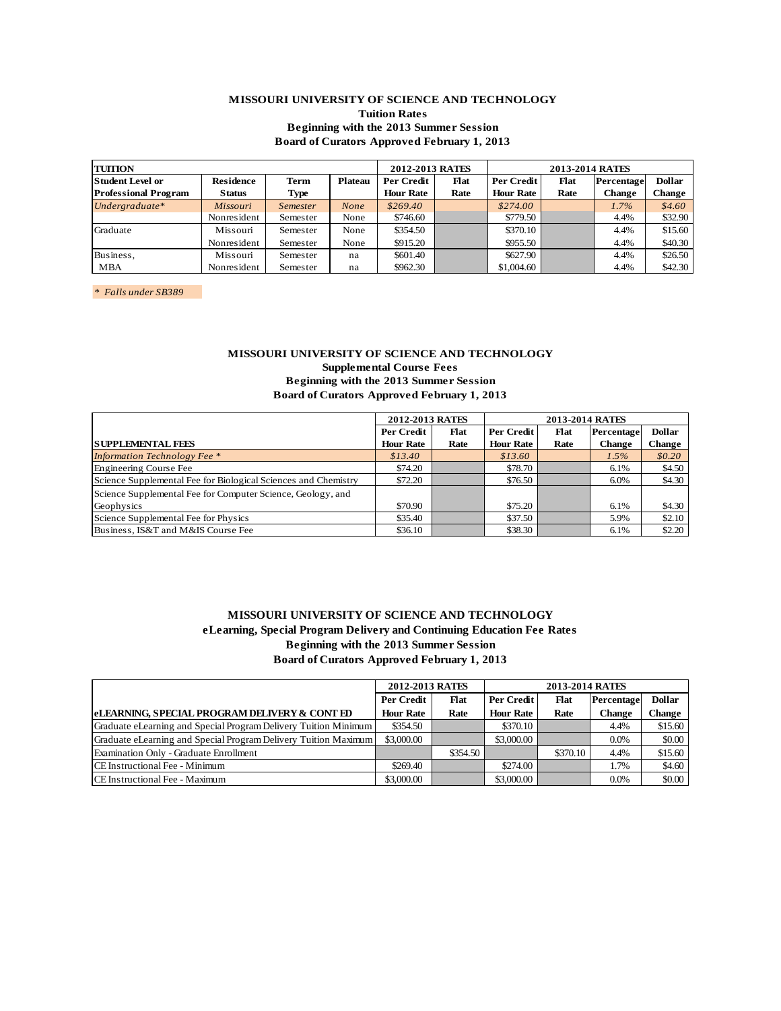### **MISSOURI UNIVERSITY OF SCIENCE AND TECHNOLOGY Tuition Rates Beginning with the 2013 Summer Session Board of Curators Approved February 1, 2013**

| <b>TUITION</b>              |                  |                 |         | 2012-2013 RATES  |      | 2013-2014 RATES                  |      |               |               |
|-----------------------------|------------------|-----------------|---------|------------------|------|----------------------------------|------|---------------|---------------|
| <b>Student Level or</b>     | <b>Residence</b> | Term            | Plateau | Per Credit       | Flat | Per Credit<br>Flat<br>Percentage |      |               | <b>Dollar</b> |
| <b>Professional Program</b> | <b>Status</b>    | Type            |         | <b>Hour Rate</b> | Rate | <b>Hour Rate</b>                 | Rate | <b>Change</b> | Change        |
| Undergraduate*              | Missouri         | <i>Semester</i> | None    | \$269.40         |      | \$274.00                         |      | $1.7\%$       | \$4.60        |
|                             | Nonresident      | Semester        | None    | \$746.60         |      | \$779.50                         |      | 4.4%          | \$32.90       |
| Graduate                    | Missouri         | Semester        | None    | \$354.50         |      | \$370.10                         |      | 4.4%          | \$15.60       |
|                             | Nonresident      | Semester        | None    | \$915.20         |      | \$955.50                         |      | 4.4%          | \$40.30       |
| Business,                   | Missouri         | Semester        | na      | \$601.40         |      | \$627.90                         |      | 4.4%          | \$26.50       |
| MBA                         | Nonresident      | Semester        | na      | \$962.30         |      | \$1,004.60                       |      | 4.4%          | \$42.30       |
|                             |                  |                 |         |                  |      |                                  |      |               |               |

*\* Falls under SB389* 

## **MISSOURI UNIVERSITY OF SCIENCE AND TECHNOLOGY**

**Supplemental Course Fees Beginning with the 2013 Summer Session Board of Curators Approved February 1, 2013**

|                                                                |                  | 2012-2013 RATES<br><b>2013-2014 RATES</b> |                  |      |               |               |
|----------------------------------------------------------------|------------------|-------------------------------------------|------------------|------|---------------|---------------|
|                                                                | Per Credit       | Flat                                      | Per Credit       | Flat | Percentage    | <b>Dollar</b> |
| <b>SUPPLEMENTAL FEES</b>                                       | <b>Hour Rate</b> | Rate                                      | <b>Hour Rate</b> | Rate | <b>Change</b> | Change        |
| <b>Information Technology Fee</b> *                            | \$13.40          |                                           | \$13.60          |      | $1.5\%$       | \$0.20        |
| Engineering Course Fee                                         | \$74.20          |                                           | \$78.70          |      | 6.1%          | \$4.50        |
| Science Supplemental Fee for Biological Sciences and Chemistry | \$72.20          |                                           | \$76.50          |      | 6.0%          | \$4.30        |
| Science Supplemental Fee for Computer Science, Geology, and    |                  |                                           |                  |      |               |               |
| Geophysics                                                     | \$70.90          |                                           | \$75.20          |      | 6.1%          | \$4.30        |
| Science Supplemental Fee for Physics                           | \$35.40          |                                           | \$37.50          |      | 5.9%          | \$2.10        |
| Business, IS&T and M&IS Course Fee                             | \$36.10          |                                           | \$38.30          |      | 6.1%          | \$2.20        |

# **MISSOURI UNIVERSITY OF SCIENCE AND TECHNOLOGY eLearning, Special Program Delivery and Continuing Education Fee Rates Beginning with the 2013 Summer Session Board of Curators Approved February 1, 2013**

|                                                                 | 2012-2013 RATES  |                                                 | 2013-2014 RATES  |          |         |               |  |  |
|-----------------------------------------------------------------|------------------|-------------------------------------------------|------------------|----------|---------|---------------|--|--|
|                                                                 | Per Credit       | Per Credit<br>Flat<br><b>Flat</b><br>Percentage |                  |          |         | <b>Dollar</b> |  |  |
| <b>eLEARNING, SPECIAL PROGRAM DELIVERY &amp; CONT ED</b>        | <b>Hour Rate</b> | Rate                                            | <b>Hour Rate</b> | Rate     | Change  | Change        |  |  |
| Graduate eLearning and Special Program Delivery Tuition Minimum | \$354.50         |                                                 | \$370.10         |          | 4.4%    | \$15.60       |  |  |
| Graduate eLearning and Special Program Delivery Tuition Maximum | \$3,000.00       |                                                 | \$3,000.00       |          | $0.0\%$ | \$0.00        |  |  |
| Examination Only - Graduate Enrollment                          |                  | \$354.50                                        |                  | \$370.10 | 4.4%    | \$15.60       |  |  |
| CE Instructional Fee - Minimum                                  | \$269.40         |                                                 | \$274.00         |          | 1.7%    | \$4.60        |  |  |
| CE Instructional Fee - Maximum                                  | \$3,000.00       |                                                 | \$3,000.00       |          | 0.0%    | \$0.00        |  |  |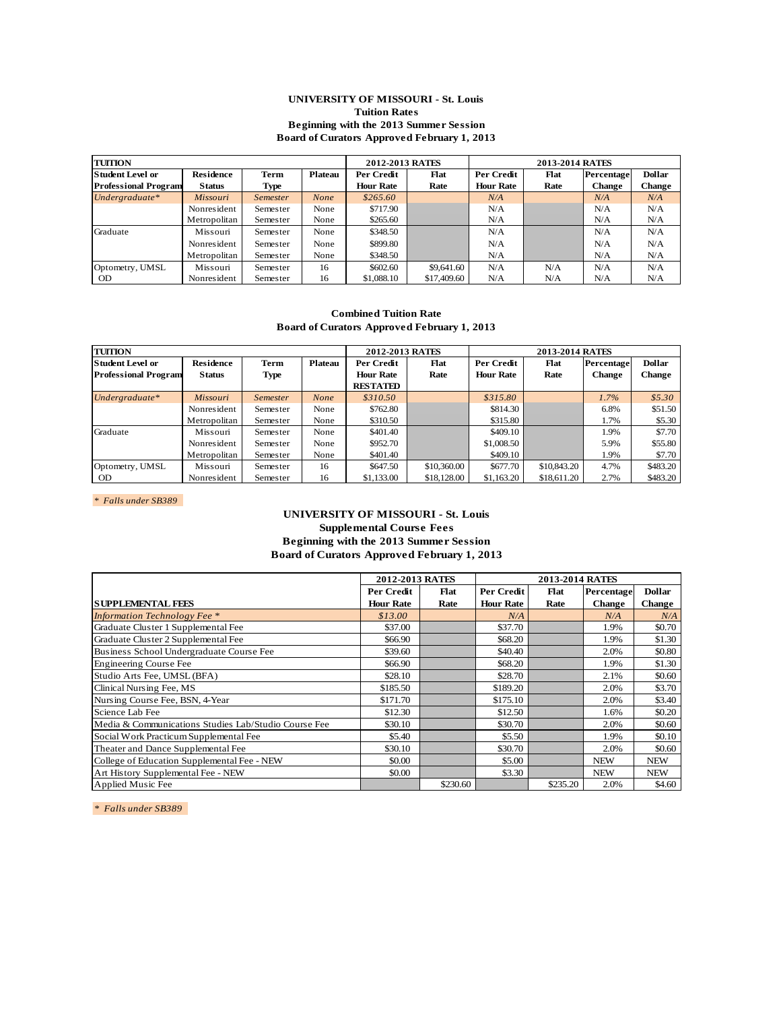#### **UNIVERSITY OF MISSOURI - St. Louis Tuition Rates Beginning with the 2013 Summer Session Board of Curators Approved February 1, 2013**

| <b>TUITION</b>              |                  |                 |         | <b>2012-2013 RATES</b> |             | <b>2013-2014 RATES</b> |      |               |               |  |
|-----------------------------|------------------|-----------------|---------|------------------------|-------------|------------------------|------|---------------|---------------|--|
| <b>Student Level or</b>     | <b>Residence</b> | <b>Term</b>     | Plateau | Per Credit             | Flat        | Per Credit             | Flat | Percentage    | <b>Dollar</b> |  |
| <b>Professional Program</b> | <b>Status</b>    | Type            |         | <b>Hour Rate</b>       | Rate        | <b>Hour Rate</b>       | Rate | <b>Change</b> | Change        |  |
| Undergraduate $*$           | <b>Missouri</b>  | <i>Semester</i> | None    | \$265.60               |             | N/A                    |      | N/A           | N/A           |  |
|                             | Nonresident      | Semester        | None    | \$717.90               |             | N/A                    |      | N/A           | N/A           |  |
|                             | Metropolitan     | Semester        | None    | \$265.60               |             | N/A                    |      | N/A           | N/A           |  |
| Graduate                    | Missouri         | Semester        | None    | \$348.50               |             | N/A                    |      | N/A           | N/A           |  |
|                             | Nonresident      | Semester        | None    | \$899.80               |             | N/A                    |      | N/A           | N/A           |  |
|                             | Metropolitan     | Semester        | None    | \$348.50               |             | N/A                    |      | N/A           | N/A           |  |
| Optometry, UMSL             | Missouri         | Semester        | 16      | \$602.60               | \$9,641.60  | N/A                    | N/A  | N/A           | N/A           |  |
| <b>OD</b>                   | Nonresident      | Semester        | 16      | \$1,088.10             | \$17,409.60 | N/A                    | N/A  | N/A           | N/A           |  |

**Combined Tuition Rate Board of Curators Approved February 1, 2013**

| <b>TUITION</b>              |                  |                 |             | 2012-2013 RATES  |             | 2013-2014 RATES  |             |               |               |  |
|-----------------------------|------------------|-----------------|-------------|------------------|-------------|------------------|-------------|---------------|---------------|--|
| <b>Student Level or</b>     | <b>Residence</b> | Term            | Plateau     | Per Credit       | Flat        | Per Credit       | Flat        | Percentage    | <b>Dollar</b> |  |
| <b>Professional Program</b> | <b>Status</b>    | <b>Type</b>     |             | <b>Hour Rate</b> | Rate        | <b>Hour Rate</b> | Rate        | <b>Change</b> | <b>Change</b> |  |
|                             |                  |                 |             | <b>RESTATED</b>  |             |                  |             |               |               |  |
| Undergraduate*              | <b>Missouri</b>  | <b>Semester</b> | <b>None</b> | \$310.50         |             | \$315.80         |             | 1.7%          | \$5.30        |  |
|                             | Nonresident      | Semester        | None        | \$762.80         |             | \$814.30         |             | 6.8%          | \$51.50       |  |
|                             | Metropolitan     | Semester        | None        | \$310.50         |             | \$315.80         |             | 1.7%          | \$5.30        |  |
| Graduate                    | Missouri         | Semester        | None        | \$401.40         |             | \$409.10         |             | 1.9%          | \$7.70        |  |
|                             | Nonresident      | Semester        | None        | \$952.70         |             | \$1,008.50       |             | 5.9%          | \$55.80       |  |
|                             | Metropolitan     | Semester        | None        | \$401.40         |             | \$409.10         |             | 1.9%          | \$7.70        |  |
| Optometry, UMSL             | Missouri         | Semester        | 16          | \$647.50         | \$10,360,00 | \$677.70         | \$10,843.20 | 4.7%          | \$483.20      |  |
| <b>OD</b>                   | Nonresident      | Semester        | 16          | \$1,133.00       | \$18,128,00 | \$1,163.20       | \$18,611.20 | 2.7%          | \$483.20      |  |

*\* Falls under SB389* 

# **UNIVERSITY OF MISSOURI - St. Louis Supplemental Course Fees**

### **Beginning with the 2013 Summer Session Board of Curators Approved February 1, 2013**

|                                                      | <b>2012-2013 RATES</b> |          |                  | <b>2013-2014 RATES</b> |               |               |
|------------------------------------------------------|------------------------|----------|------------------|------------------------|---------------|---------------|
|                                                      | Per Credit             | Flat     | Per Credit       | Flat                   | Percentage    | <b>Dollar</b> |
| <b>SUPPLEMENTAL FEES</b>                             | <b>Hour Rate</b>       | Rate     | <b>Hour Rate</b> | Rate                   | <b>Change</b> | <b>Change</b> |
| <b>Information Technology Fee</b> *                  | \$13.00                |          | N/A              |                        | N/A           | N/A           |
| Graduate Cluster 1 Supplemental Fee                  | \$37.00                |          | \$37.70          |                        | 1.9%          | \$0.70        |
| Graduate Cluster 2 Supplemental Fee                  | \$66.90                |          | \$68.20          |                        | 1.9%          | \$1.30        |
| Business School Undergraduate Course Fee             | \$39.60                |          | \$40.40          |                        | 2.0%          | \$0.80        |
| <b>Engineering Course Fee</b>                        | \$66.90                |          | \$68.20          |                        | 1.9%          | \$1.30        |
| Studio Arts Fee, UMSL (BFA)                          | \$28.10                |          | \$28.70          |                        | 2.1%          | \$0.60        |
| Clinical Nursing Fee, MS                             | \$185.50               |          | \$189.20         |                        | 2.0%          | \$3.70        |
| Nursing Course Fee, BSN, 4-Year                      | \$171.70               |          | \$175.10         |                        | 2.0%          | \$3.40        |
| Science Lab Fee                                      | \$12.30                |          | \$12.50          |                        | 1.6%          | \$0.20        |
| Media & Communications Studies Lab/Studio Course Fee | \$30.10                |          | \$30.70          |                        | 2.0%          | \$0.60        |
| Social Work Practicum Supplemental Fee               | \$5.40                 |          | \$5.50           |                        | 1.9%          | \$0.10        |
| Theater and Dance Supplemental Fee                   | \$30.10                |          | \$30.70          |                        | 2.0%          | \$0.60        |
| College of Education Supplemental Fee - NEW          | \$0.00                 |          | \$5.00           |                        | <b>NEW</b>    | <b>NEW</b>    |
| Art History Supplemental Fee - NEW                   | \$0.00                 |          | \$3.30           |                        | <b>NEW</b>    | <b>NEW</b>    |
| Applied Music Fee                                    |                        | \$230.60 |                  | \$235.20               | 2.0%          | \$4.60        |

*\* Falls under SB389*